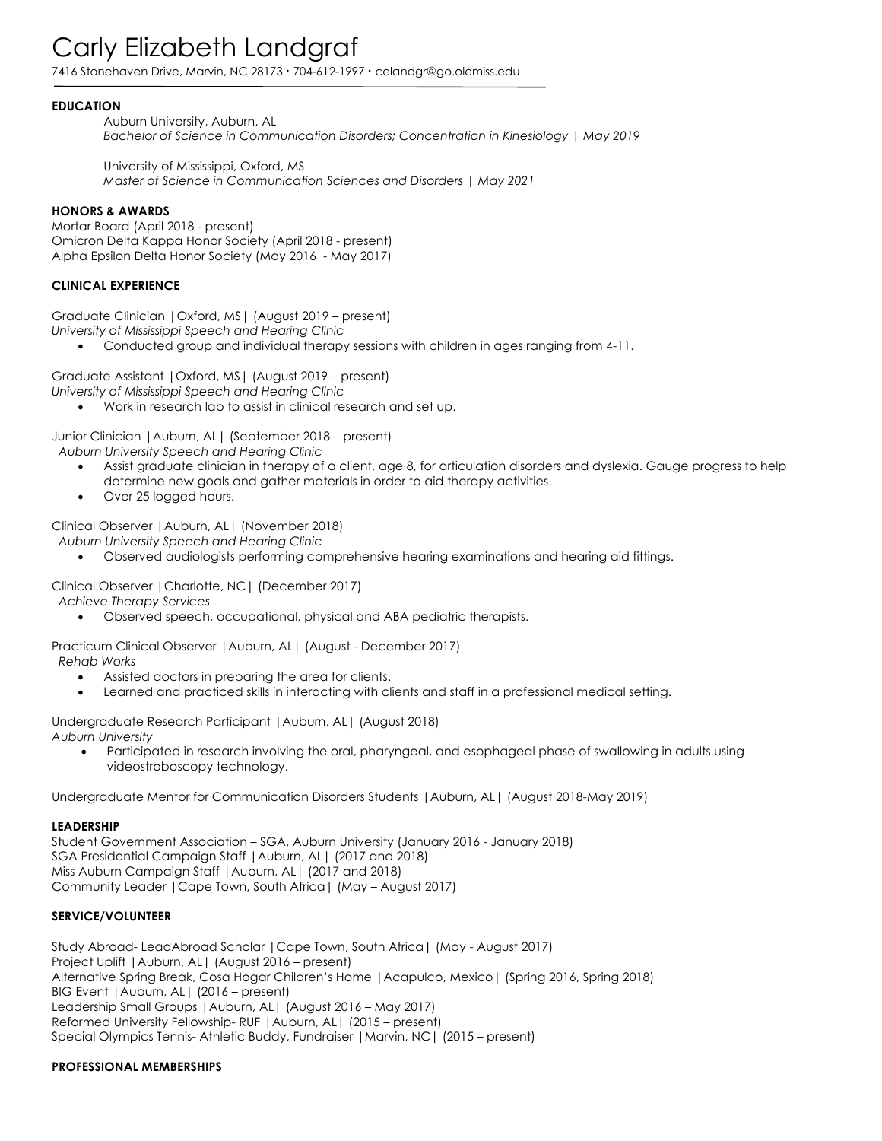# Carly Elizabeth Landgraf

7416 Stonehaven Drive, Marvin, NC 28173 **·** 704-612-1997 **·** celandgr@go.olemiss.edu

## **EDUCATION**

Auburn University, Auburn, AL *Bachelor of Science in Communication Disorders; Concentration in Kinesiology | May 2019*

University of Mississippi, Oxford, MS *Master of Science in Communication Sciences and Disorders | May 2021*

### **HONORS & AWARDS**

Mortar Board (April 2018 - present) Omicron Delta Kappa Honor Society (April 2018 - present) Alpha Epsilon Delta Honor Society (May 2016 - May 2017)

## **CLINICAL EXPERIENCE**

Graduate Clinician |Oxford, MS| (August 2019 – present) *University of Mississippi Speech and Hearing Clinic*

• Conducted group and individual therapy sessions with children in ages ranging from 4-11.

Graduate Assistant |Oxford, MS| (August 2019 – present)

*University of Mississippi Speech and Hearing Clinic*

• Work in research lab to assist in clinical research and set up.

Junior Clinician |Auburn, AL| (September 2018 – present)  *Auburn University Speech and Hearing Clinic* 

- Assist graduate clinician in therapy of a client, age 8, for articulation disorders and dyslexia. Gauge progress to help determine new goals and gather materials in order to aid therapy activities.
- Over 25 logged hours.

Clinical Observer |Auburn, AL| (November 2018)

 *Auburn University Speech and Hearing Clinic* 

• Observed audiologists performing comprehensive hearing examinations and hearing aid fittings.

Clinical Observer |Charlotte, NC| (December 2017)

 *Achieve Therapy Services*

• Observed speech, occupational, physical and ABA pediatric therapists.

Practicum Clinical Observer |Auburn, AL| (August - December 2017)  *Rehab Works*

- Assisted doctors in preparing the area for clients.
- Learned and practiced skills in interacting with clients and staff in a professional medical setting.

Undergraduate Research Participant |Auburn, AL| (August 2018) *Auburn University*

• Participated in research involving the oral, pharyngeal, and esophageal phase of swallowing in adults using videostroboscopy technology.

Undergraduate Mentor for Communication Disorders Students |Auburn, AL| (August 2018-May 2019)

### **LEADERSHIP**

Student Government Association – SGA, Auburn University (January 2016 - January 2018) SGA Presidential Campaign Staff |Auburn, AL| (2017 and 2018) Miss Auburn Campaign Staff |Auburn, AL| (2017 and 2018) Community Leader |Cape Town, South Africa| (May – August 2017)

## **SERVICE/VOLUNTEER**

Study Abroad- LeadAbroad Scholar |Cape Town, South Africa| (May - August 2017) Project Uplift |Auburn, AL| (August 2016 – present) Alternative Spring Break, Cosa Hogar Children's Home |Acapulco, Mexico| (Spring 2016, Spring 2018) BIG Event |Auburn, AL| (2016 – present) Leadership Small Groups |Auburn, AL| (August 2016 – May 2017) Reformed University Fellowship- RUF |Auburn, AL| (2015 – present) Special Olympics Tennis- Athletic Buddy, Fundraiser |Marvin, NC| (2015 – present)

### **PROFESSIONAL MEMBERSHIPS**